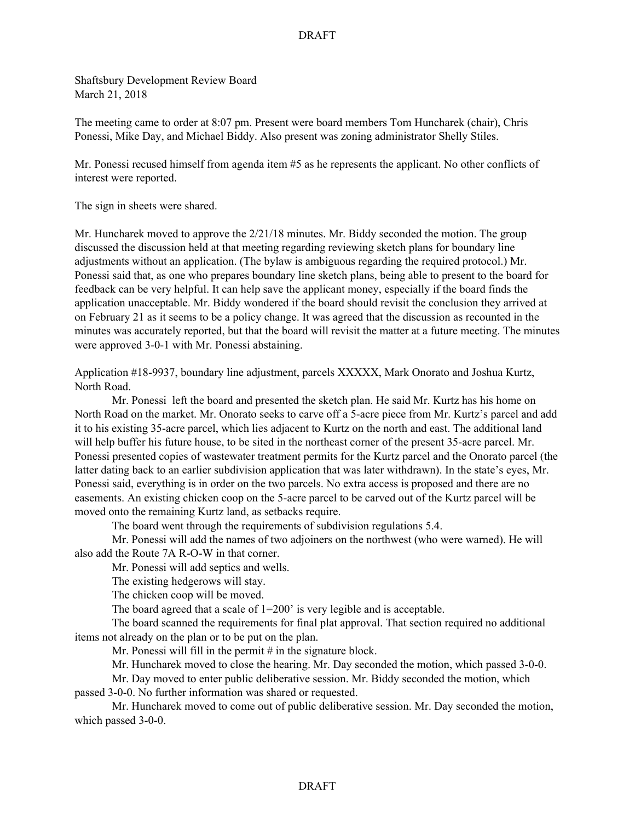## DRAFT

Shaftsbury Development Review Board March 21, 2018

The meeting came to order at 8:07 pm. Present were board members Tom Huncharek (chair), Chris Ponessi, Mike Day, and Michael Biddy. Also present was zoning administrator Shelly Stiles.

Mr. Ponessi recused himself from agenda item #5 as he represents the applicant. No other conflicts of interest were reported.

The sign in sheets were shared.

Mr. Huncharek moved to approve the 2/21/18 minutes. Mr. Biddy seconded the motion. The group discussed the discussion held at that meeting regarding reviewing sketch plans for boundary line adjustments without an application. (The bylaw is ambiguous regarding the required protocol.) Mr. Ponessi said that, as one who prepares boundary line sketch plans, being able to present to the board for feedback can be very helpful. It can help save the applicant money, especially if the board finds the application unacceptable. Mr. Biddy wondered if the board should revisit the conclusion they arrived at on February 21 as it seems to be a policy change. It was agreed that the discussion as recounted in the minutes was accurately reported, but that the board will revisit the matter at a future meeting. The minutes were approved 3-0-1 with Mr. Ponessi abstaining.

Application #18-9937, boundary line adjustment, parcels XXXXX, Mark Onorato and Joshua Kurtz, North Road.

Mr. Ponessi left the board and presented the sketch plan. He said Mr. Kurtz has his home on North Road on the market. Mr. Onorato seeks to carve off a 5-acre piece from Mr. Kurtz's parcel and add it to his existing 35-acre parcel, which lies adjacent to Kurtz on the north and east. The additional land will help buffer his future house, to be sited in the northeast corner of the present 35-acre parcel. Mr. Ponessi presented copies of wastewater treatment permits for the Kurtz parcel and the Onorato parcel (the latter dating back to an earlier subdivision application that was later withdrawn). In the state's eyes, Mr. Ponessi said, everything is in order on the two parcels. No extra access is proposed and there are no easements. An existing chicken coop on the 5-acre parcel to be carved out of the Kurtz parcel will be moved onto the remaining Kurtz land, as setbacks require.

The board went through the requirements of subdivision regulations 5.4.

Mr. Ponessi will add the names of two adjoiners on the northwest (who were warned). He will also add the Route 7A R-O-W in that corner.

Mr. Ponessi will add septics and wells.

The existing hedgerows will stay.

The chicken coop will be moved.

The board agreed that a scale of  $1=200$  is very legible and is acceptable.

The board scanned the requirements for final plat approval. That section required no additional items not already on the plan or to be put on the plan.

Mr. Ponessi will fill in the permit  $#$  in the signature block.

Mr. Huncharek moved to close the hearing. Mr. Day seconded the motion, which passed 3-0-0.

Mr. Day moved to enter public deliberative session. Mr. Biddy seconded the motion, which passed 3-0-0. No further information was shared or requested.

Mr. Huncharek moved to come out of public deliberative session. Mr. Day seconded the motion, which passed 3-0-0.